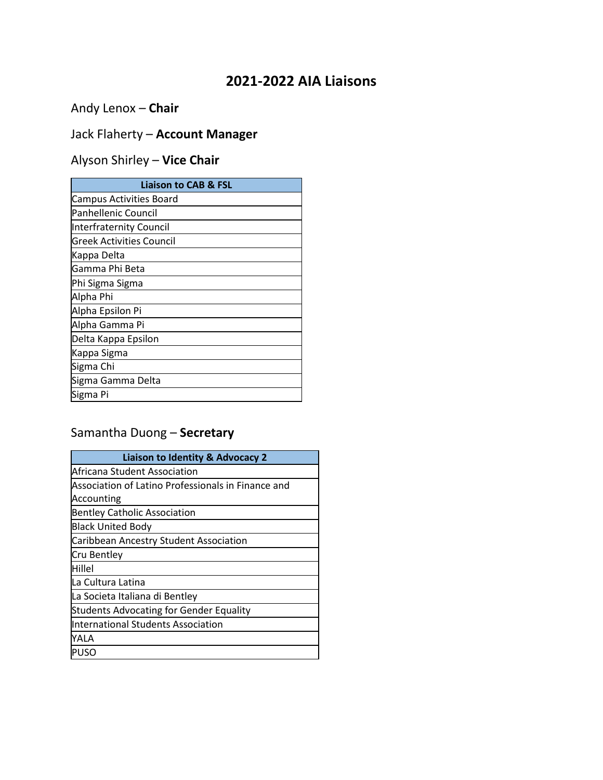## **2021-2022 AIA Liaisons**

Andy Lenox – **Chair**

# Jack Flaherty – **Account Manager**

# Alyson Shirley – **Vice Chair**

| <b>Liaison to CAB &amp; FSL</b> |
|---------------------------------|
| <b>Campus Activities Board</b>  |
| Panhellenic Council             |
| Interfraternity Council         |
| <b>Greek Activities Council</b> |
| Kappa Delta                     |
| Gamma Phi Beta                  |
| Phi Sigma Sigma                 |
| Alpha Phi                       |
| Alpha Epsilon Pi                |
| Alpha Gamma Pi                  |
| Delta Kappa Epsilon             |
| Kappa Sigma                     |
| Sigma Chi                       |
| Sigma Gamma Delta               |
| Sigma Pi                        |

### Samantha Duong – **Secretary**

| Liaison to Identity & Advocacy 2                   |
|----------------------------------------------------|
| lAfricana Student Association                      |
| Association of Latino Professionals in Finance and |
| Accounting                                         |
| <b>Bentley Catholic Association</b>                |
| <b>Black United Body</b>                           |
| <b>Caribbean Ancestry Student Association</b>      |
| Cru Bentley                                        |
| Hillel                                             |
| La Cultura Latina                                  |
| La Societa Italiana di Bentley                     |
| <b>Students Advocating for Gender Equality</b>     |
| International Students Association                 |
| YALA                                               |
| ipuso                                              |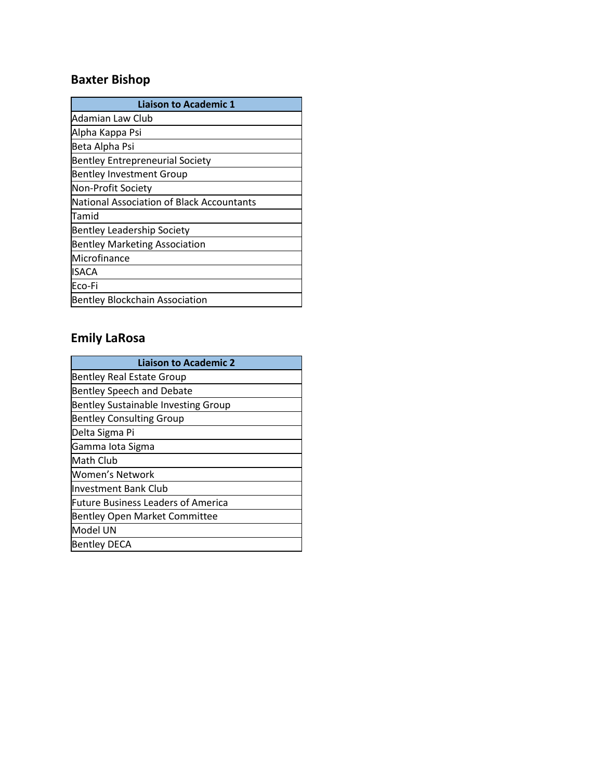# **Baxter Bishop**

| <b>Liaison to Academic 1</b>              |
|-------------------------------------------|
| Adamian Law Club                          |
| Alpha Kappa Psi                           |
| Beta Alpha Psi                            |
| <b>Bentley Entrepreneurial Society</b>    |
| <b>Bentley Investment Group</b>           |
| Non-Profit Society                        |
| National Association of Black Accountants |
| Tamid                                     |
| <b>Bentley Leadership Society</b>         |
| <b>Bentley Marketing Association</b>      |
| Microfinance                              |
| <b>ISACA</b>                              |
| Eco-Fi                                    |
| Bentley Blockchain Association            |

# **Emily LaRosa**

| <b>Liaison to Academic 2</b>               |
|--------------------------------------------|
| <b>Bentley Real Estate Group</b>           |
| <b>Bentley Speech and Debate</b>           |
| <b>Bentley Sustainable Investing Group</b> |
| <b>Bentley Consulting Group</b>            |
| Delta Sigma Pi                             |
| Gamma lota Sigma                           |
| Math Club                                  |
| Women's Network                            |
| Investment Bank Club                       |
| <b>Future Business Leaders of America</b>  |
| <b>Bentley Open Market Committee</b>       |
| Model UN                                   |
| <b>Bentley DECA</b>                        |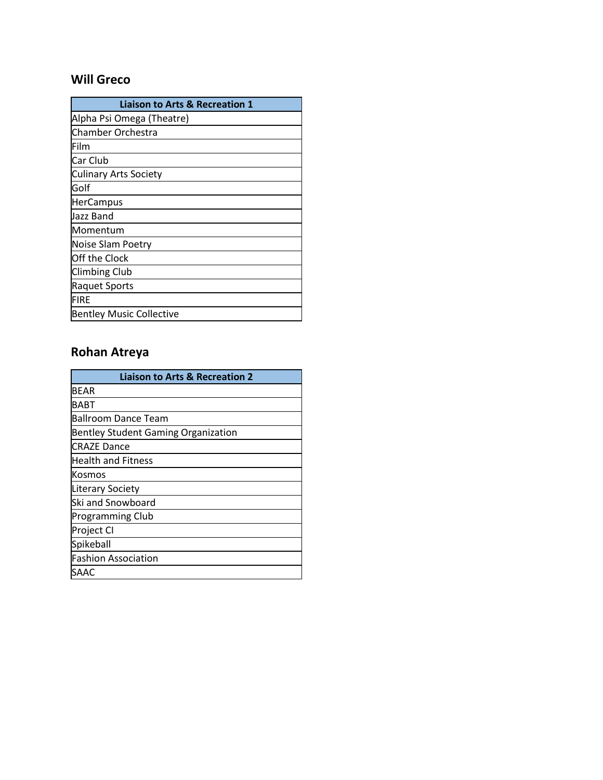#### **Will Greco**

| <b>Liaison to Arts &amp; Recreation 1</b> |
|-------------------------------------------|
| Alpha Psi Omega (Theatre)                 |
| Chamber Orchestra                         |
| Film                                      |
| Car Club                                  |
| Culinary Arts Society                     |
| lGolf                                     |
| <b>HerCampus</b>                          |
| Jazz Band                                 |
| Momentum                                  |
| Noise Slam Poetry                         |
| Off the Clock                             |
| <b>Climbing Club</b>                      |
| <b>Raquet Sports</b>                      |
| <b>FIRE</b>                               |
| <b>Bentley Music Collective</b>           |

### **Rohan Atreya**

| <b>Liaison to Arts &amp; Recreation 2</b>  |
|--------------------------------------------|
| BEAR                                       |
| BABT                                       |
| Ballroom Dance Team                        |
| <b>Bentley Student Gaming Organization</b> |
| <b>CRAZE Dance</b>                         |
| Health and Fitness                         |
| Kosmos                                     |
| <b>Literary Society</b>                    |
| Ski and Snowboard                          |
| <b>Programming Club</b>                    |
| Project CI                                 |
| Spikeball                                  |
| <b>Fashion Association</b>                 |
| SAAC                                       |